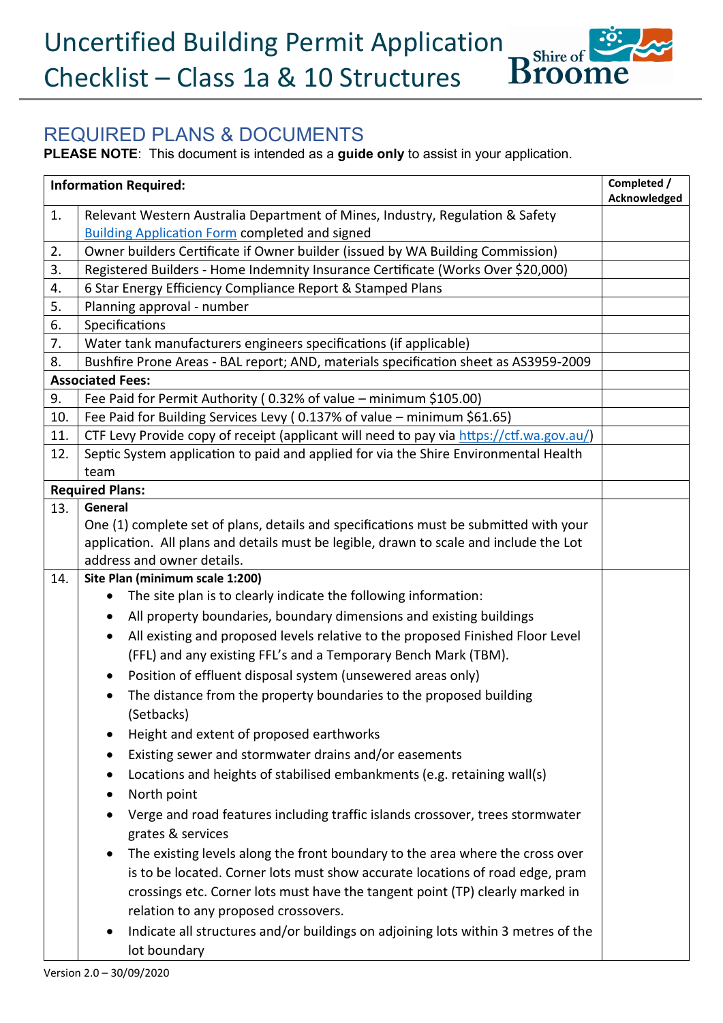## REQUIRED PLANS & DOCUMENTS

**PLEASE NOTE**: This document is intended as a **guide only** to assist in your application.

| <b>Information Required:</b> |                                                                                                                      |              |
|------------------------------|----------------------------------------------------------------------------------------------------------------------|--------------|
| 1.                           | Relevant Western Australia Department of Mines, Industry, Regulation & Safety                                        | Acknowledged |
|                              | <b>Building Application Form completed and signed</b>                                                                |              |
| 2.                           | Owner builders Certificate if Owner builder (issued by WA Building Commission)                                       |              |
| 3.                           | Registered Builders - Home Indemnity Insurance Certificate (Works Over \$20,000)                                     |              |
| 4.                           | 6 Star Energy Efficiency Compliance Report & Stamped Plans                                                           |              |
| 5.                           | Planning approval - number                                                                                           |              |
| 6.                           | Specifications                                                                                                       |              |
| 7.                           | Water tank manufacturers engineers specifications (if applicable)                                                    |              |
| 8.                           | Bushfire Prone Areas - BAL report; AND, materials specification sheet as AS3959-2009                                 |              |
|                              | <b>Associated Fees:</b>                                                                                              |              |
| 9.                           | Fee Paid for Permit Authority (0.32% of value - minimum \$105.00)                                                    |              |
| 10.                          | Fee Paid for Building Services Levy (0.137% of value - minimum \$61.65)                                              |              |
| 11.                          | CTF Levy Provide copy of receipt (applicant will need to pay via https://ctf.wa.gov.au/)                             |              |
| 12.                          | Septic System application to paid and applied for via the Shire Environmental Health                                 |              |
|                              | team                                                                                                                 |              |
|                              | <b>Required Plans:</b>                                                                                               |              |
| 13.                          | General                                                                                                              |              |
|                              | One (1) complete set of plans, details and specifications must be submitted with your                                |              |
|                              | application. All plans and details must be legible, drawn to scale and include the Lot<br>address and owner details. |              |
| 14.                          | Site Plan (minimum scale 1:200)                                                                                      |              |
|                              | The site plan is to clearly indicate the following information:                                                      |              |
|                              | All property boundaries, boundary dimensions and existing buildings<br>$\bullet$                                     |              |
|                              | All existing and proposed levels relative to the proposed Finished Floor Level<br>$\bullet$                          |              |
|                              | (FFL) and any existing FFL's and a Temporary Bench Mark (TBM).                                                       |              |
|                              | Position of effluent disposal system (unsewered areas only)<br>$\bullet$                                             |              |
|                              | The distance from the property boundaries to the proposed building                                                   |              |
|                              |                                                                                                                      |              |
|                              | (Setbacks)                                                                                                           |              |
|                              | Height and extent of proposed earthworks                                                                             |              |
|                              | Existing sewer and stormwater drains and/or easements                                                                |              |
|                              | Locations and heights of stabilised embankments (e.g. retaining wall(s)                                              |              |
|                              | North point                                                                                                          |              |
|                              | Verge and road features including traffic islands crossover, trees stormwater                                        |              |
|                              | grates & services                                                                                                    |              |
|                              | The existing levels along the front boundary to the area where the cross over                                        |              |
|                              | is to be located. Corner lots must show accurate locations of road edge, pram                                        |              |
|                              | crossings etc. Corner lots must have the tangent point (TP) clearly marked in                                        |              |
|                              | relation to any proposed crossovers.                                                                                 |              |
|                              | Indicate all structures and/or buildings on adjoining lots within 3 metres of the                                    |              |
|                              | lot boundary                                                                                                         |              |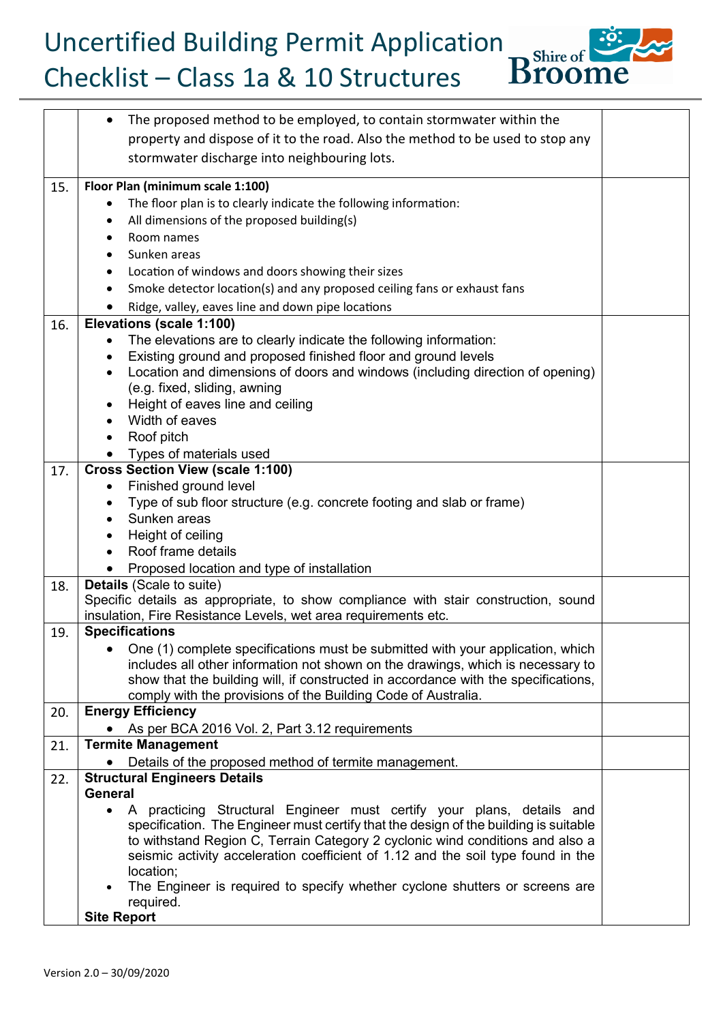Uncertified Building Permit Application<br>Checklist – Class 1a & 10 Structures Broome Checklist – Class 1a & 10 Structures



|     | The proposed method to be employed, to contain stormwater within the<br>$\bullet$<br>property and dispose of it to the road. Also the method to be used to stop any<br>stormwater discharge into neighbouring lots. |  |
|-----|---------------------------------------------------------------------------------------------------------------------------------------------------------------------------------------------------------------------|--|
| 15. | Floor Plan (minimum scale 1:100)                                                                                                                                                                                    |  |
|     | The floor plan is to clearly indicate the following information:                                                                                                                                                    |  |
|     | All dimensions of the proposed building(s)                                                                                                                                                                          |  |
|     | Room names                                                                                                                                                                                                          |  |
|     |                                                                                                                                                                                                                     |  |
|     | Sunken areas                                                                                                                                                                                                        |  |
|     | Location of windows and doors showing their sizes                                                                                                                                                                   |  |
|     | Smoke detector location(s) and any proposed ceiling fans or exhaust fans                                                                                                                                            |  |
|     | Ridge, valley, eaves line and down pipe locations                                                                                                                                                                   |  |
| 16. | Elevations (scale 1:100)                                                                                                                                                                                            |  |
|     | The elevations are to clearly indicate the following information:                                                                                                                                                   |  |
|     | Existing ground and proposed finished floor and ground levels                                                                                                                                                       |  |
|     | Location and dimensions of doors and windows (including direction of opening)                                                                                                                                       |  |
|     | (e.g. fixed, sliding, awning                                                                                                                                                                                        |  |
|     | Height of eaves line and ceiling                                                                                                                                                                                    |  |
|     | Width of eaves                                                                                                                                                                                                      |  |
|     | Roof pitch<br>$\bullet$                                                                                                                                                                                             |  |
|     | Types of materials used                                                                                                                                                                                             |  |
| 17. | <b>Cross Section View (scale 1:100)</b>                                                                                                                                                                             |  |
|     | Finished ground level                                                                                                                                                                                               |  |
|     | Type of sub floor structure (e.g. concrete footing and slab or frame)                                                                                                                                               |  |
|     | Sunken areas                                                                                                                                                                                                        |  |
|     | Height of ceiling                                                                                                                                                                                                   |  |
|     | Roof frame details                                                                                                                                                                                                  |  |
|     |                                                                                                                                                                                                                     |  |
|     | Proposed location and type of installation<br><b>Details</b> (Scale to suite)                                                                                                                                       |  |
| 18. | Specific details as appropriate, to show compliance with stair construction, sound                                                                                                                                  |  |
|     | insulation, Fire Resistance Levels, wet area requirements etc.                                                                                                                                                      |  |
| 19. | <b>Specifications</b>                                                                                                                                                                                               |  |
|     | One (1) complete specifications must be submitted with your application, which                                                                                                                                      |  |
|     | includes all other information not shown on the drawings, which is necessary to                                                                                                                                     |  |
|     | show that the building will, if constructed in accordance with the specifications,                                                                                                                                  |  |
|     | comply with the provisions of the Building Code of Australia.                                                                                                                                                       |  |
| 20. | <b>Energy Efficiency</b>                                                                                                                                                                                            |  |
|     |                                                                                                                                                                                                                     |  |
|     | As per BCA 2016 Vol. 2, Part 3.12 requirements<br><b>Termite Management</b>                                                                                                                                         |  |
| 21. |                                                                                                                                                                                                                     |  |
|     | Details of the proposed method of termite management.                                                                                                                                                               |  |
| 22. | <b>Structural Engineers Details</b><br><b>General</b>                                                                                                                                                               |  |
|     |                                                                                                                                                                                                                     |  |
|     | A practicing Structural Engineer must certify your plans, details and                                                                                                                                               |  |
|     | specification. The Engineer must certify that the design of the building is suitable                                                                                                                                |  |
|     | to withstand Region C, Terrain Category 2 cyclonic wind conditions and also a<br>seismic activity acceleration coefficient of 1.12 and the soil type found in the                                                   |  |
|     | location;                                                                                                                                                                                                           |  |
|     | The Engineer is required to specify whether cyclone shutters or screens are                                                                                                                                         |  |
|     | required.                                                                                                                                                                                                           |  |
|     | <b>Site Report</b>                                                                                                                                                                                                  |  |
|     |                                                                                                                                                                                                                     |  |